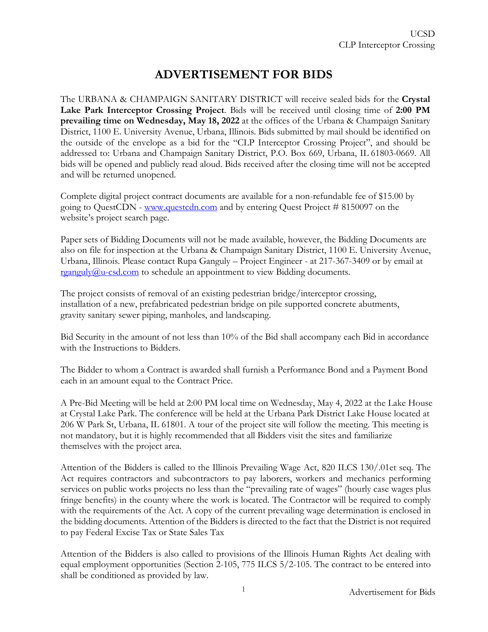## **ADVERTISEMENT FOR BIDS**

The URBANA & CHAMPAIGN SANITARY DISTRICT will receive sealed bids for the **Crystal Lake Park Interceptor Crossing Project**. Bids will be received until closing time of **2:00 PM prevailing time on Wednesday, May 18, 2022** at the offices of the Urbana & Champaign Sanitary District, 1100 E. University Avenue, Urbana, Illinois. Bids submitted by mail should be identified on the outside of the envelope as a bid for the "CLP Interceptor Crossing Project", and should be addressed to: Urbana and Champaign Sanitary District, P.O. Box 669, Urbana, IL 61803-0669. All bids will be opened and publicly read aloud. Bids received after the closing time will not be accepted and will be returned unopened.

Complete digital project contract documents are available for a non-refundable fee of \$15.00 by going to QuestCDN - [www.questcdn.com](http://www.questcdn.com/) and by entering Quest Project # 8150097 on the website's project search page.

Paper sets of Bidding Documents will not be made available, however, the Bidding Documents are also on file for inspection at the Urbana & Champaign Sanitary District, 1100 E. University Avenue, Urbana, Illinois. Please contact Rupa Ganguly – Project Engineer - at 217-367-3409 or by email at [rganguly@u-csd.com](mailto:rganguly@u-csd.com) to schedule an appointment to view Bidding documents.

The project consists of removal of an existing pedestrian bridge/interceptor crossing, installation of a new, prefabricated pedestrian bridge on pile supported concrete abutments, gravity sanitary sewer piping, manholes, and landscaping.

Bid Security in the amount of not less than 10% of the Bid shall accompany each Bid in accordance with the Instructions to Bidders.

The Bidder to whom a Contract is awarded shall furnish a Performance Bond and a Payment Bond each in an amount equal to the Contract Price.

A Pre-Bid Meeting will be held at 2:00 PM local time on Wednesday, May 4, 2022 at the Lake House at Crystal Lake Park. The conference will be held at the Urbana Park District Lake House located at 206 W Park St, Urbana, IL 61801. A tour of the project site will follow the meeting. This meeting is not mandatory, but it is highly recommended that all Bidders visit the sites and familiarize themselves with the project area.

Attention of the Bidders is called to the Illinois Prevailing Wage Act, 820 ILCS 130/.01et seq. The Act requires contractors and subcontractors to pay laborers, workers and mechanics performing services on public works projects no less than the "prevailing rate of wages" (hourly case wages plus fringe benefits) in the county where the work is located. The Contractor will be required to comply with the requirements of the Act. A copy of the current prevailing wage determination is enclosed in the bidding documents. Attention of the Bidders is directed to the fact that the District is not required to pay Federal Excise Tax or State Sales Tax

Attention of the Bidders is also called to provisions of the Illinois Human Rights Act dealing with equal employment opportunities (Section 2-105, 775 ILCS 5/2-105. The contract to be entered into shall be conditioned as provided by law.